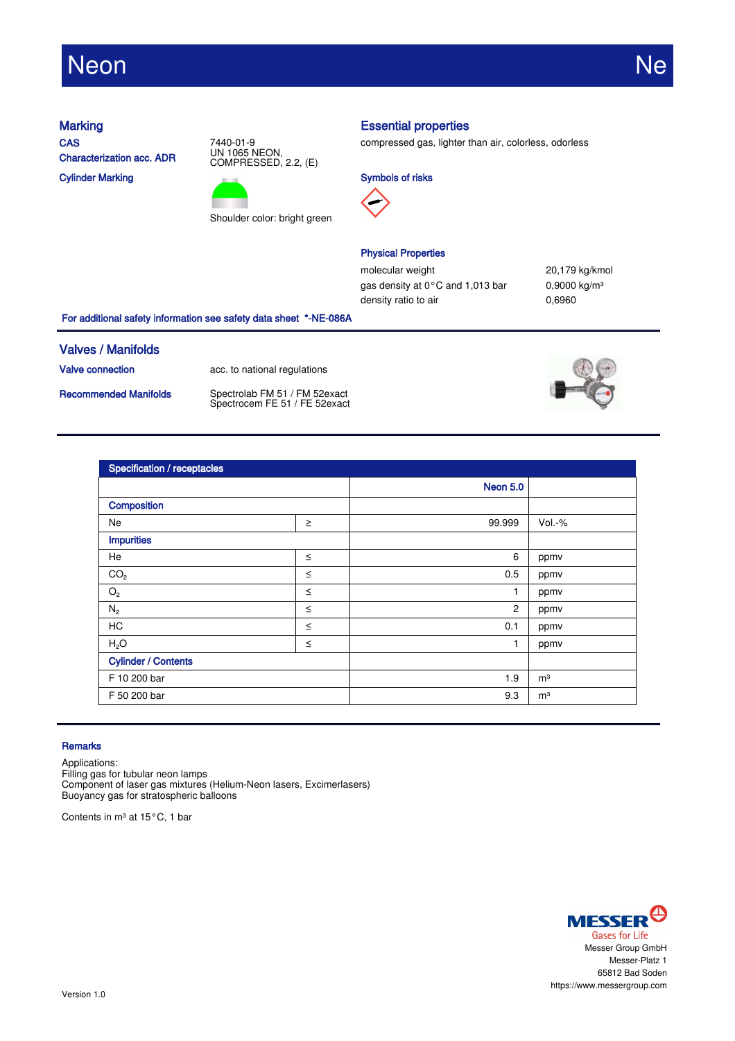# Neon Ne

**CAS** Characterization acc. ADR Cylinder Marking





## Marking **Essential properties**

compressed gas, lighter than air, colorless, odorless





## Physical Properties

molecular weight 20,179 kg/kmol gas density at 0°C and 1,013 bar 0,9000 kg/m<sup>3</sup> density ratio to air 0,6960

For additional safety information see safety data sheet \*-NE-086A

### Valves / Manifolds

Valve connection acc. to national regulations

Recommended Manifolds Spectrolab FM 51 / FM 52exact Spectrocem FE 51 / FE 52exact



| <b>Specification / receptacles</b> |        |                 |                |  |
|------------------------------------|--------|-----------------|----------------|--|
|                                    |        | <b>Neon 5.0</b> |                |  |
| Composition                        |        |                 |                |  |
| Ne                                 | $\geq$ | 99.999          | $Vol.-%$       |  |
| <b>Impurities</b>                  |        |                 |                |  |
| He                                 | $\leq$ | 6               | ppmv           |  |
| CO <sub>2</sub>                    | $\leq$ | 0.5             | ppmv           |  |
| $\mathrm{O}_2$                     | $\leq$ | 1               | ppmv           |  |
| $\mathsf{N}_2$                     | $\leq$ | $\overline{2}$  | ppmv           |  |
| <b>HC</b>                          | $\leq$ | 0.1             | ppmv           |  |
| H <sub>2</sub> O                   | $\leq$ | $\mathbf{1}$    | ppmv           |  |
| <b>Cylinder / Contents</b>         |        |                 |                |  |
| F 10 200 bar                       |        | 1.9             | m <sup>3</sup> |  |
| F 50 200 bar                       |        | 9.3             | m <sup>3</sup> |  |

### **Remarks**

Applications:

Filling gas for tubular neon lamps Component of laser gas mixtures (Helium-Neon lasers, Excimerlasers) Buoyancy gas for stratospheric balloons

Contents in m<sup>3</sup> at 15°C, 1 bar